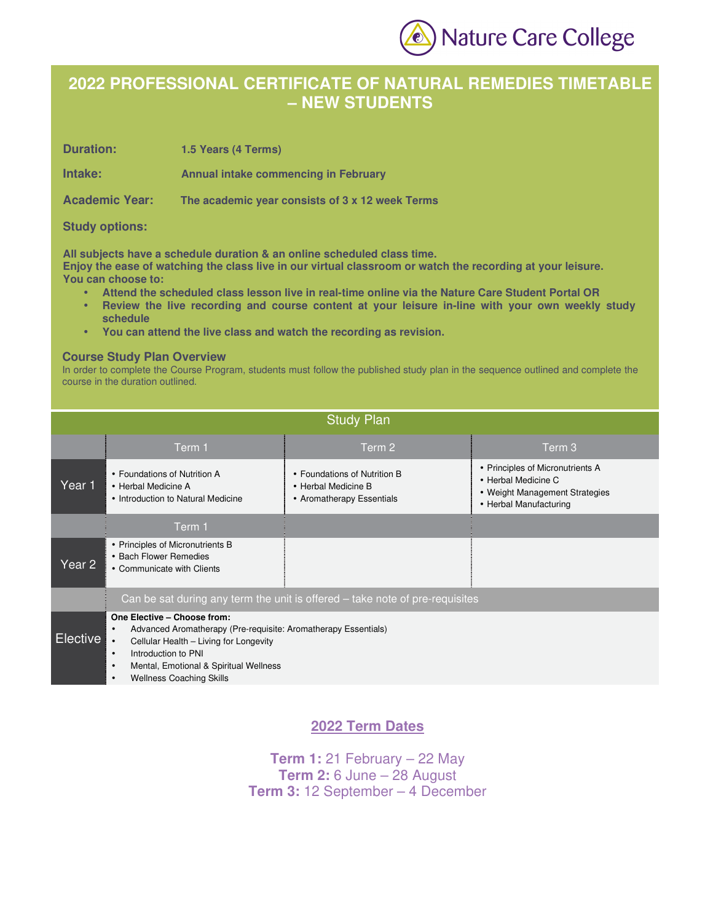

# **2022 PROFESSIONAL CERTIFICATE OF NATURAL REMEDIES TIMETABLE – NEW STUDENTS**

**Duration: 1.5 Years (4 Terms)** 

**Intake: Annual intake commencing in February** 

**Academic Year: The academic year consists of 3 x 12 week Terms** 

### **Study options:**

**All subjects have a schedule duration & an online scheduled class time.** 

**Enjoy the ease of watching the class live in our virtual classroom or watch the recording at your leisure. You can choose to:** 

- **Attend the scheduled class lesson live in real-time online via the Nature Care Student Portal OR**
- **Review the live recording and course content at your leisure in-line with your own weekly study schedule**
- **You can attend the live class and watch the recording as revision.**

### **Course Study Plan Overview**

In order to complete the Course Program, students must follow the published study plan in the sequence outlined and complete the course in the duration outlined.

| <b>Study Plan</b> |                                                                                                                                                                                                                                                                                                 |                                                                                  |                                                                                                                     |  |  |  |
|-------------------|-------------------------------------------------------------------------------------------------------------------------------------------------------------------------------------------------------------------------------------------------------------------------------------------------|----------------------------------------------------------------------------------|---------------------------------------------------------------------------------------------------------------------|--|--|--|
|                   | Term 1                                                                                                                                                                                                                                                                                          | Term 2                                                                           | Term 3                                                                                                              |  |  |  |
| Year 1            | • Foundations of Nutrition A<br>• Herbal Medicine A<br>• Introduction to Natural Medicine                                                                                                                                                                                                       | • Foundations of Nutrition B<br>• Herbal Medicine B<br>• Aromatherapy Essentials | • Principles of Micronutrients A<br>• Herbal Medicine C<br>• Weight Management Strategies<br>• Herbal Manufacturing |  |  |  |
|                   | Term 1                                                                                                                                                                                                                                                                                          |                                                                                  |                                                                                                                     |  |  |  |
| Year 2            | • Principles of Micronutrients B<br>• Bach Flower Remedies<br>• Communicate with Clients                                                                                                                                                                                                        |                                                                                  |                                                                                                                     |  |  |  |
|                   |                                                                                                                                                                                                                                                                                                 | Can be sat during any term the unit is offered - take note of pre-requisites     |                                                                                                                     |  |  |  |
| <b>Elective</b>   | One Elective - Choose from:<br>Advanced Aromatherapy (Pre-requisite: Aromatherapy Essentials)<br>$\bullet$<br>Cellular Health - Living for Longevity<br>Introduction to PNI<br>$\bullet$<br>Mental, Emotional & Spiritual Wellness<br>$\bullet$<br><b>Wellness Coaching Skills</b><br>$\bullet$ |                                                                                  |                                                                                                                     |  |  |  |

### **2022 Term Dates**

**Term 1:** 21 February – 22 May **Term 2:** 6 June – 28 August **Term 3:** 12 September – 4 December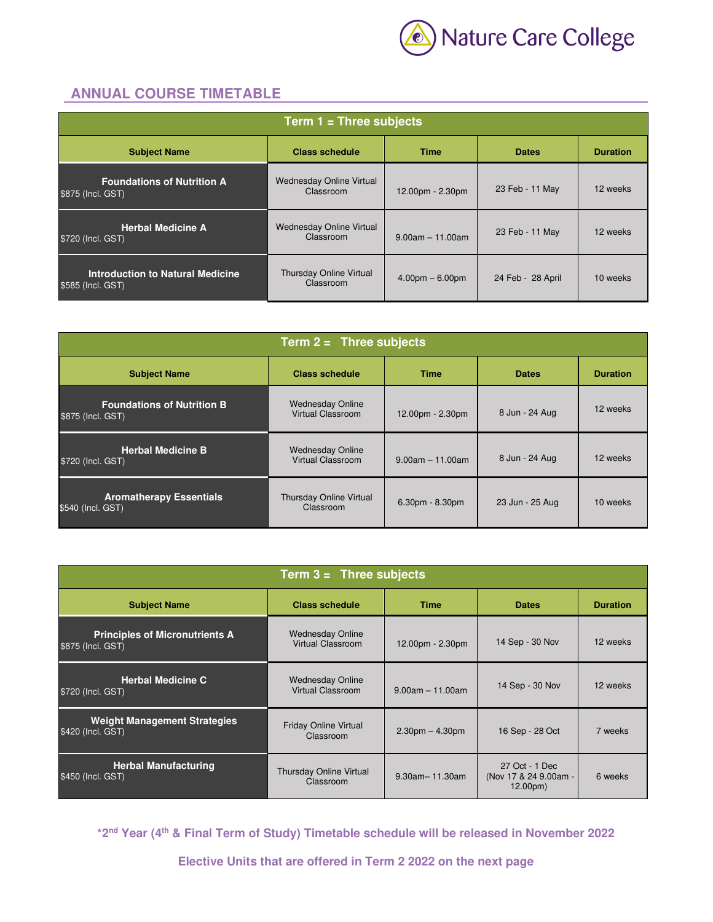

## **ANNUAL COURSE TIMETABLE**

| Term $1 =$ Three subjects                                                               |                                              |                    |                   |          |  |
|-----------------------------------------------------------------------------------------|----------------------------------------------|--------------------|-------------------|----------|--|
| <b>Class schedule</b><br><b>Subject Name</b><br><b>Dates</b><br><b>Duration</b><br>Time |                                              |                    |                   |          |  |
| <b>Foundations of Nutrition A</b><br>\$875 (Incl. GST)                                  | <b>Wednesday Online Virtual</b><br>Classroom | 12.00pm - 2.30pm   | 23 Feb - 11 May   | 12 weeks |  |
| <b>Herbal Medicine A</b><br>\$720 (Incl. GST)                                           | Wednesday Online Virtual<br>Classroom        | $9.00am - 11.00am$ | 23 Feb - 11 May   | 12 weeks |  |
| Introduction to Natural Medicine<br>\$585 (Incl. GST)                                   | Thursday Online Virtual<br>Classroom         | $4.00pm - 6.00pm$  | 24 Feb - 28 April | 10 weeks |  |

| Term $2 =$ Three subjects                              |                                                     |                    |                 |                 |  |
|--------------------------------------------------------|-----------------------------------------------------|--------------------|-----------------|-----------------|--|
| <b>Subject Name</b>                                    | <b>Class schedule</b>                               | <b>Time</b>        | <b>Dates</b>    | <b>Duration</b> |  |
| <b>Foundations of Nutrition B</b><br>\$875 (Incl. GST) | <b>Wednesday Online</b><br>Virtual Classroom        | 12.00pm - 2.30pm   | 8 Jun - 24 Aug  | 12 weeks        |  |
| <b>Herbal Medicine B</b><br>\$720 (Incl. GST)          | <b>Wednesday Online</b><br><b>Virtual Classroom</b> | $9.00am - 11.00am$ | 8 Jun - 24 Aug  | 12 weeks        |  |
| <b>Aromatherapy Essentials</b><br>\$540 (Incl. GST)    | Thursday Online Virtual<br>Classroom                | $6.30pm - 8.30pm$  | 23 Jun - 25 Aug | 10 weeks        |  |

| Term $3 =$ Three subjects                                  |                                                     |                       |                                                                |                 |  |
|------------------------------------------------------------|-----------------------------------------------------|-----------------------|----------------------------------------------------------------|-----------------|--|
| <b>Subject Name</b>                                        | <b>Class schedule</b>                               | <b>Time</b>           | <b>Dates</b>                                                   | <b>Duration</b> |  |
| <b>Principles of Micronutrients A</b><br>\$875 (Incl. GST) | <b>Wednesday Online</b><br><b>Virtual Classroom</b> | 12.00pm - 2.30pm      | 14 Sep - 30 Nov                                                | 12 weeks        |  |
| <b>Herbal Medicine C</b><br>\$720 (Incl. GST)              | <b>Wednesday Online</b><br><b>Virtual Classroom</b> | $9.00am - 11.00am$    | 14 Sep - 30 Nov                                                | 12 weeks        |  |
| <b>Weight Management Strategies</b><br>\$420 (Incl. GST)   | Friday Online Virtual<br>Classroom                  | $2.30pm - 4.30pm$     | 16 Sep - 28 Oct                                                | 7 weeks         |  |
| <b>Herbal Manufacturing</b><br>\$450 (Incl. GST)           | Thursday Online Virtual<br>Classroom                | $9.30$ am $-11.30$ am | 27 Oct - 1 Dec<br>(Nov 17 & 24 9.00am -<br>12.00 <sub>pm</sub> | 6 weeks         |  |

**\*2nd Year (4th & Final Term of Study) Timetable schedule will be released in November 2022** 

**Elective Units that are offered in Term 2 2022 on the next page**